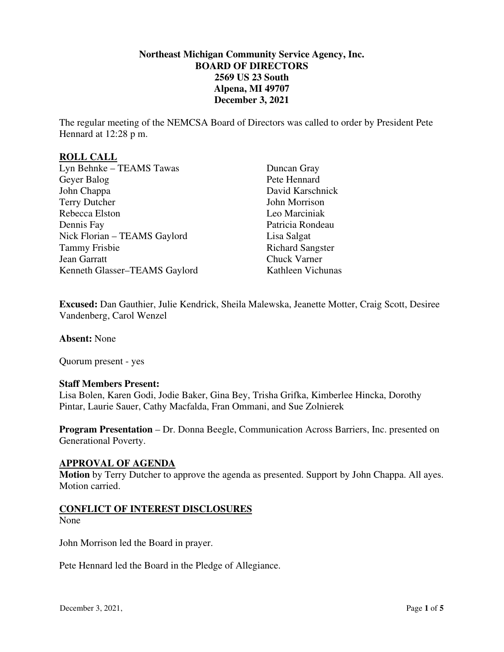### **Northeast Michigan Community Service Agency, Inc. BOARD OF DIRECTORS 2569 US 23 South Alpena, MI 49707 December 3, 2021**

The regular meeting of the NEMCSA Board of Directors was called to order by President Pete Hennard at 12:28 p m.

### **ROLL CALL**

| Lyn Behnke - TEAMS Tawas      | Duncan Gray             |
|-------------------------------|-------------------------|
| Geyer Balog                   | Pete Hennard            |
| John Chappa                   | David Karschnick        |
| <b>Terry Dutcher</b>          | John Morrison           |
| Rebecca Elston                | Leo Marciniak           |
| Dennis Fay                    | Patricia Rondeau        |
| Nick Florian - TEAMS Gaylord  | Lisa Salgat             |
| <b>Tammy Frisbie</b>          | <b>Richard Sangster</b> |
| Jean Garratt                  | <b>Chuck Varner</b>     |
| Kenneth Glasser-TEAMS Gaylord | Kathleen Vichunas       |

**Excused:** Dan Gauthier, Julie Kendrick, Sheila Malewska, Jeanette Motter, Craig Scott, Desiree Vandenberg, Carol Wenzel

**Absent:** None

Quorum present - yes

#### **Staff Members Present:**

Lisa Bolen, Karen Godi, Jodie Baker, Gina Bey, Trisha Grifka, Kimberlee Hincka, Dorothy Pintar, Laurie Sauer, Cathy Macfalda, Fran Ommani, and Sue Zolnierek

**Program Presentation** – Dr. Donna Beegle, Communication Across Barriers, Inc. presented on Generational Poverty.

## **APPROVAL OF AGENDA**

**Motion** by Terry Dutcher to approve the agenda as presented. Support by John Chappa. All ayes. Motion carried.

# **CONFLICT OF INTEREST DISCLOSURES**

None

John Morrison led the Board in prayer.

Pete Hennard led the Board in the Pledge of Allegiance.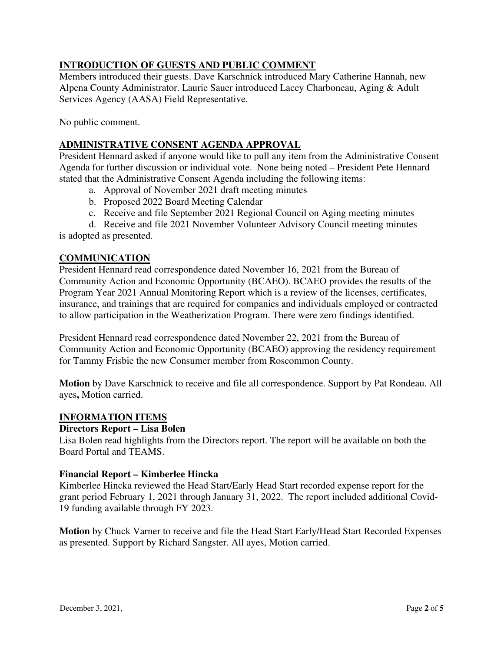# **INTRODUCTION OF GUESTS AND PUBLIC COMMENT**

Members introduced their guests. Dave Karschnick introduced Mary Catherine Hannah, new Alpena County Administrator. Laurie Sauer introduced Lacey Charboneau, Aging & Adult Services Agency (AASA) Field Representative.

No public comment.

# **ADMINISTRATIVE CONSENT AGENDA APPROVAL**

President Hennard asked if anyone would like to pull any item from the Administrative Consent Agenda for further discussion or individual vote. None being noted – President Pete Hennard stated that the Administrative Consent Agenda including the following items:

- a. Approval of November 2021 draft meeting minutes
- b. Proposed 2022 Board Meeting Calendar
- c. Receive and file September 2021 Regional Council on Aging meeting minutes

d. Receive and file 2021 November Volunteer Advisory Council meeting minutes is adopted as presented.

### **COMMUNICATION**

President Hennard read correspondence dated November 16, 2021 from the Bureau of Community Action and Economic Opportunity (BCAEO). BCAEO provides the results of the Program Year 2021 Annual Monitoring Report which is a review of the licenses, certificates, insurance, and trainings that are required for companies and individuals employed or contracted to allow participation in the Weatherization Program. There were zero findings identified.

President Hennard read correspondence dated November 22, 2021 from the Bureau of Community Action and Economic Opportunity (BCAEO) approving the residency requirement for Tammy Frisbie the new Consumer member from Roscommon County.

**Motion** by Dave Karschnick to receive and file all correspondence. Support by Pat Rondeau. All ayes**,** Motion carried.

### **INFORMATION ITEMS**

### **Directors Report – Lisa Bolen**

Lisa Bolen read highlights from the Directors report. The report will be available on both the Board Portal and TEAMS.

### **Financial Report – Kimberlee Hincka**

Kimberlee Hincka reviewed the Head Start/Early Head Start recorded expense report for the grant period February 1, 2021 through January 31, 2022. The report included additional Covid-19 funding available through FY 2023.

**Motion** by Chuck Varner to receive and file the Head Start Early/Head Start Recorded Expenses as presented. Support by Richard Sangster. All ayes, Motion carried.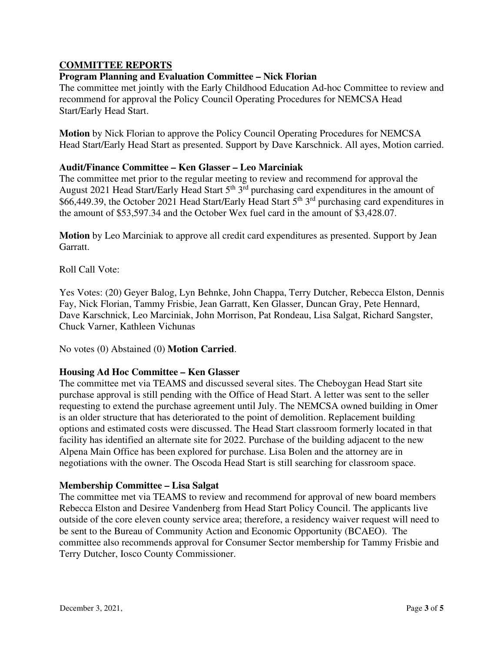# **COMMITTEE REPORTS**

### **Program Planning and Evaluation Committee – Nick Florian**

The committee met jointly with the Early Childhood Education Ad-hoc Committee to review and recommend for approval the Policy Council Operating Procedures for NEMCSA Head Start/Early Head Start.

**Motion** by Nick Florian to approve the Policy Council Operating Procedures for NEMCSA Head Start/Early Head Start as presented. Support by Dave Karschnick. All ayes, Motion carried.

### **Audit/Finance Committee – Ken Glasser – Leo Marciniak**

The committee met prior to the regular meeting to review and recommend for approval the August 2021 Head Start/Early Head Start  $5<sup>th</sup> 3<sup>rd</sup>$  purchasing card expenditures in the amount of \$66,449.39, the October 2021 Head Start/Early Head Start 5<sup>th</sup> 3<sup>rd</sup> purchasing card expenditures in the amount of \$53,597.34 and the October Wex fuel card in the amount of \$3,428.07.

**Motion** by Leo Marciniak to approve all credit card expenditures as presented. Support by Jean Garratt.

Roll Call Vote:

Yes Votes: (20) Geyer Balog, Lyn Behnke, John Chappa, Terry Dutcher, Rebecca Elston, Dennis Fay, Nick Florian, Tammy Frisbie, Jean Garratt, Ken Glasser, Duncan Gray, Pete Hennard, Dave Karschnick, Leo Marciniak, John Morrison, Pat Rondeau, Lisa Salgat, Richard Sangster, Chuck Varner, Kathleen Vichunas

No votes (0) Abstained (0) **Motion Carried**.

### **Housing Ad Hoc Committee – Ken Glasser**

The committee met via TEAMS and discussed several sites. The Cheboygan Head Start site purchase approval is still pending with the Office of Head Start. A letter was sent to the seller requesting to extend the purchase agreement until July. The NEMCSA owned building in Omer is an older structure that has deteriorated to the point of demolition. Replacement building options and estimated costs were discussed. The Head Start classroom formerly located in that facility has identified an alternate site for 2022. Purchase of the building adjacent to the new Alpena Main Office has been explored for purchase. Lisa Bolen and the attorney are in negotiations with the owner. The Oscoda Head Start is still searching for classroom space.

### **Membership Committee – Lisa Salgat**

The committee met via TEAMS to review and recommend for approval of new board members Rebecca Elston and Desiree Vandenberg from Head Start Policy Council. The applicants live outside of the core eleven county service area; therefore, a residency waiver request will need to be sent to the Bureau of Community Action and Economic Opportunity (BCAEO). The committee also recommends approval for Consumer Sector membership for Tammy Frisbie and Terry Dutcher, Iosco County Commissioner.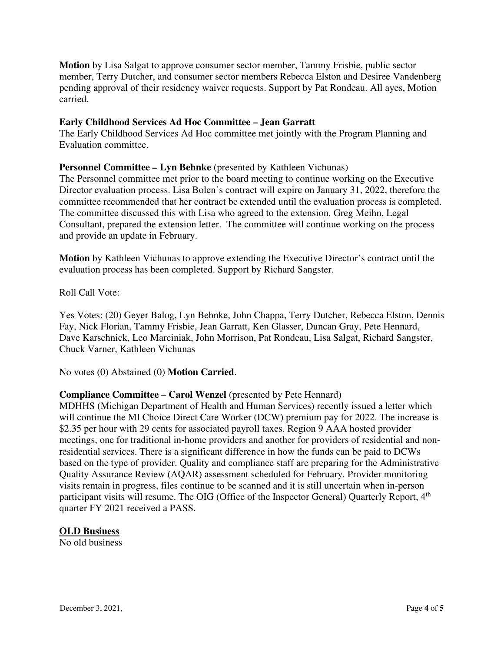**Motion** by Lisa Salgat to approve consumer sector member, Tammy Frisbie, public sector member, Terry Dutcher, and consumer sector members Rebecca Elston and Desiree Vandenberg pending approval of their residency waiver requests. Support by Pat Rondeau. All ayes, Motion carried.

#### **Early Childhood Services Ad Hoc Committee – Jean Garratt**

The Early Childhood Services Ad Hoc committee met jointly with the Program Planning and Evaluation committee.

#### **Personnel Committee – Lyn Behnke** (presented by Kathleen Vichunas)

The Personnel committee met prior to the board meeting to continue working on the Executive Director evaluation process. Lisa Bolen's contract will expire on January 31, 2022, therefore the committee recommended that her contract be extended until the evaluation process is completed. The committee discussed this with Lisa who agreed to the extension. Greg Meihn, Legal Consultant, prepared the extension letter. The committee will continue working on the process and provide an update in February.

**Motion** by Kathleen Vichunas to approve extending the Executive Director's contract until the evaluation process has been completed. Support by Richard Sangster.

Roll Call Vote:

Yes Votes: (20) Geyer Balog, Lyn Behnke, John Chappa, Terry Dutcher, Rebecca Elston, Dennis Fay, Nick Florian, Tammy Frisbie, Jean Garratt, Ken Glasser, Duncan Gray, Pete Hennard, Dave Karschnick, Leo Marciniak, John Morrison, Pat Rondeau, Lisa Salgat, Richard Sangster, Chuck Varner, Kathleen Vichunas

No votes (0) Abstained (0) **Motion Carried**.

### **Compliance Committee** – **Carol Wenzel** (presented by Pete Hennard)

MDHHS (Michigan Department of Health and Human Services) recently issued a letter which will continue the MI Choice Direct Care Worker (DCW) premium pay for 2022. The increase is \$2.35 per hour with 29 cents for associated payroll taxes. Region 9 AAA hosted provider meetings, one for traditional in-home providers and another for providers of residential and nonresidential services. There is a significant difference in how the funds can be paid to DCWs based on the type of provider. Quality and compliance staff are preparing for the Administrative Quality Assurance Review (AQAR) assessment scheduled for February. Provider monitoring visits remain in progress, files continue to be scanned and it is still uncertain when in-person participant visits will resume. The OIG (Office of the Inspector General) Quarterly Report, 4<sup>th</sup> quarter FY 2021 received a PASS.

### **OLD Business**

No old business